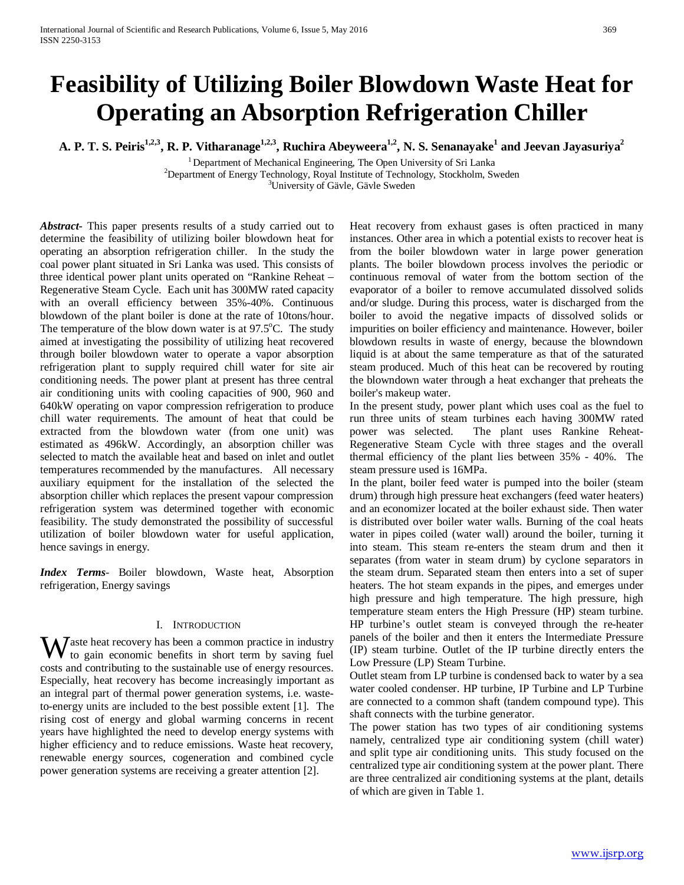# **Feasibility of Utilizing Boiler Blowdown Waste Heat for Operating an Absorption Refrigeration Chiller**

A. P. T. S. Peiris<sup>1,2,3</sup>, R. P. Vitharanage<sup>1,2,3</sup>, Ruchira Abeyweera<sup>1,2</sup>, N. S. Senanayake<sup>1</sup> and Jeevan Jayasuriya<sup>2</sup>

 $1$  Department of Mechanical Engineering, The Open University of Sri Lanka  $^{2}$ Department of Energy Technology, Royal Institute of Technology, Stockholm, Sweden

<sup>3</sup>University of Gävle, Gävle Sweden

*Abstract***-** This paper presents results of a study carried out to determine the feasibility of utilizing boiler blowdown heat for operating an absorption refrigeration chiller. In the study the coal power plant situated in Sri Lanka was used. This consists of three identical power plant units operated on "Rankine Reheat – Regenerative Steam Cycle. Each unit has 300MW rated capacity with an overall efficiency between 35%-40%. Continuous blowdown of the plant boiler is done at the rate of 10tons/hour. The temperature of the blow down water is at  $97.5^{\circ}$ C. The study aimed at investigating the possibility of utilizing heat recovered through boiler blowdown water to operate a vapor absorption refrigeration plant to supply required chill water for site air conditioning needs. The power plant at present has three central air conditioning units with cooling capacities of 900, 960 and 640kW operating on vapor compression refrigeration to produce chill water requirements. The amount of heat that could be extracted from the blowdown water (from one unit) was estimated as 496kW. Accordingly, an absorption chiller was selected to match the available heat and based on inlet and outlet temperatures recommended by the manufactures. All necessary auxiliary equipment for the installation of the selected the absorption chiller which replaces the present vapour compression refrigeration system was determined together with economic feasibility. The study demonstrated the possibility of successful utilization of boiler blowdown water for useful application, hence savings in energy.

*Index Terms*- Boiler blowdown, Waste heat, Absorption refrigeration, Energy savings

#### I. INTRODUCTION

 $\mathbf{W}$ aste heat recovery has been a common practice in industry to gain economic benefits in short term by saving fuel to gain economic benefits in short term by saving fuel costs and contributing to the sustainable use of energy resources. Especially, heat recovery has become increasingly important as an integral part of thermal power generation systems, i.e. wasteto-energy units are included to the best possible extent [1]. The rising cost of energy and global warming concerns in recent years have highlighted the need to develop energy systems with higher efficiency and to reduce emissions. Waste heat recovery, renewable energy sources, cogeneration and combined cycle power generation systems are receiving a greater attention [2].

Heat recovery from exhaust gases is often practiced in many instances. Other area in which a potential exists to recover heat is from the boiler blowdown water in large power generation plants. The boiler blowdown process involves the periodic or continuous removal of water from the bottom section of the evaporator of a boiler to remove accumulated dissolved solids and/or sludge. During this process, water is discharged from the boiler to avoid the negative impacts of dissolved solids or impurities on boiler efficiency and maintenance. However, boiler blowdown results in waste of energy, because the blowndown liquid is at about the same temperature as that of the saturated steam produced. Much of this heat can be recovered by routing the blowndown water through a heat exchanger that preheats the boiler's makeup water.

In the present study, power plant which uses coal as the fuel to run three units of steam turbines each having 300MW rated power was selected. The plant uses Rankine Reheat-Regenerative Steam Cycle with three stages and the overall thermal efficiency of the plant lies between 35% - 40%. The steam pressure used is 16MPa.

In the plant, boiler feed water is pumped into the boiler (steam drum) through high pressure heat exchangers (feed water heaters) and an economizer located at the boiler exhaust side. Then water is distributed over boiler water walls. Burning of the coal heats water in pipes coiled (water wall) around the boiler, turning it into steam. This steam re-enters the steam drum and then it separates (from water in steam drum) by cyclone separators in the steam drum. Separated steam then enters into a set of super heaters. The hot steam expands in the pipes, and emerges under high pressure and high temperature. The high pressure, high temperature steam enters the High Pressure (HP) steam turbine. HP turbine's outlet steam is conveyed through the re-heater panels of the boiler and then it enters the Intermediate Pressure (IP) steam turbine. Outlet of the IP turbine directly enters the Low Pressure (LP) Steam Turbine.

Outlet steam from LP turbine is condensed back to water by a sea water cooled condenser. HP turbine, IP Turbine and LP Turbine are connected to a common shaft (tandem compound type). This shaft connects with the turbine generator.

The power station has two types of air conditioning systems namely, centralized type air conditioning system (chill water) and split type air conditioning units. This study focused on the centralized type air conditioning system at the power plant. There are three centralized air conditioning systems at the plant, details of which are given in Table 1.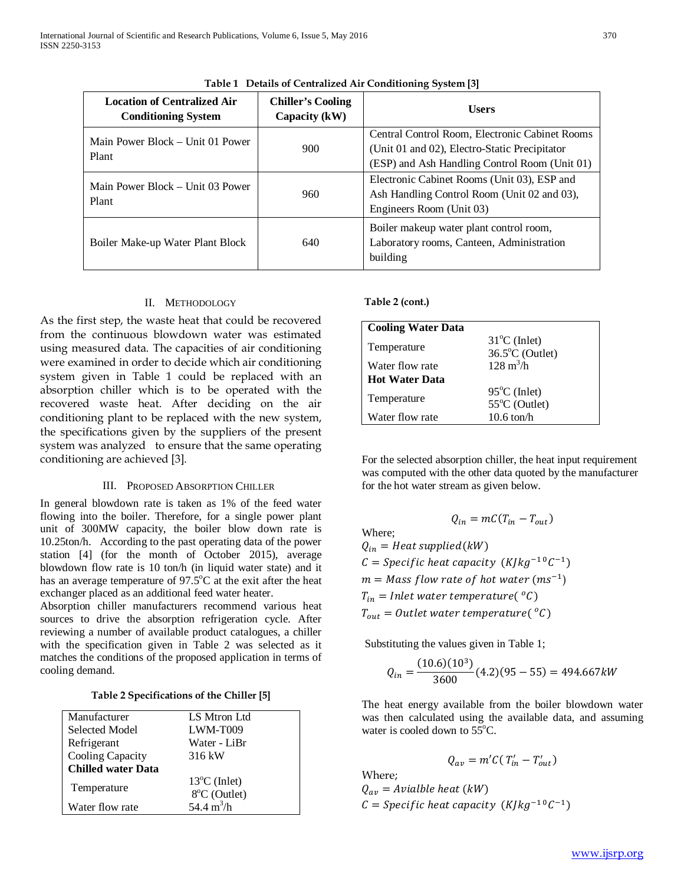| <b>Location of Centralized Air</b><br><b>Conditioning System</b> | <b>Chiller's Cooling</b><br>Capacity (kW) | <b>Users</b>                                                                                                                                     |  |
|------------------------------------------------------------------|-------------------------------------------|--------------------------------------------------------------------------------------------------------------------------------------------------|--|
| Main Power Block – Unit 01 Power<br>Plant                        | 900                                       | Central Control Room, Electronic Cabinet Rooms<br>(Unit 01 and 02), Electro-Static Precipitator<br>(ESP) and Ash Handling Control Room (Unit 01) |  |
| Main Power Block – Unit 03 Power<br>Plant                        | 960                                       | Electronic Cabinet Rooms (Unit 03), ESP and<br>Ash Handling Control Room (Unit 02 and 03),<br>Engineers Room (Unit 03)                           |  |
| Boiler Make-up Water Plant Block                                 | 640                                       | Boiler makeup water plant control room,<br>Laboratory rooms, Canteen, Administration<br>building                                                 |  |

# **Table 1 Details of Centralized Air Conditioning System [3]**

## II. METHODOLOGY

As the first step, the waste heat that could be recovered from the continuous blowdown water was estimated using measured data. The capacities of air conditioning were examined in order to decide which air conditioning system given in Table 1 could be replaced with an absorption chiller which is to be operated with the recovered waste heat. After deciding on the air conditioning plant to be replaced with the new system, the specifications given by the suppliers of the present system was analyzed to ensure that the same operating conditioning are achieved [3].

## III. PROPOSED ABSORPTION CHILLER

In general blowdown rate is taken as 1% of the feed water flowing into the boiler. Therefore, for a single power plant unit of 300MW capacity, the boiler blow down rate is 10.25ton/h. According to the past operating data of the power station [4] (for the month of October 2015), average blowdown flow rate is 10 ton/h (in liquid water state) and it has an average temperature of 97.5°C at the exit after the heat exchanger placed as an additional feed water heater.

Absorption chiller manufacturers recommend various heat sources to drive the absorption refrigeration cycle. After reviewing a number of available product catalogues, a chiller with the specification given in Table 2 was selected as it matches the conditions of the proposed application in terms of cooling demand.

## **Table 2 Specifications of the Chiller [5]**

| Manufacturer              | LS Mtron Ltd           |
|---------------------------|------------------------|
| Selected Model            | LWM-T009               |
| Refrigerant               | Water - LiBr           |
| <b>Cooling Capacity</b>   | 316 kW                 |
| <b>Chilled water Data</b> |                        |
|                           | $13^{\circ}$ C (Inlet) |
| Temperature               | 8°C (Outlet)           |
| Water flow rate           | 54.4 $m^3/h$           |

**Table 2 (cont.)**

| <b>Cooling Water Data</b> |                                                     |
|---------------------------|-----------------------------------------------------|
| Temperature               | $31^{\circ}$ C (Inlet)<br>$36.5^{\circ}$ C (Outlet) |
| Water flow rate           | $128 \text{ m}^3/\text{h}$                          |
| <b>Hot Water Data</b>     |                                                     |
| Temperature               | $95^{\circ}$ C (Inlet)<br>55°C (Outlet)             |
| Water flow rate           | $10.6 \text{ ton/h}$                                |

For the selected absorption chiller, the heat input requirement was computed with the other data quoted by the manufacturer for the hot water stream as given below.

$$
Q_{in} = mC(T_{in} - T_{out})
$$
  
Where;  

$$
Q_{in} = Heat \, supplied(kW)
$$
  

$$
C = Specific \, heat \, capacity \, (K/kg^{-10}C^{-1})
$$
  

$$
m = Mass \, flow \, rate \, of \, hot \, water \, (ms^{-1})
$$
  

$$
T_{in} = Inlet \, water \, temperature(^{0}C)
$$
  

$$
T_{out} = Outlet \, water \, temperature(^{0}C)
$$

Substituting the values given in Table 1;

$$
Q_{in} = \frac{(10.6)(10^3)}{3600}(4.2)(95 - 55) = 494.667kW
$$

The heat energy available from the boiler blowdown water was then calculated using the available data, and assuming water is cooled down to  $55^{\circ}$ C.

$$
Q_{av}=m'C(T_{in}'-T_{out}')
$$

Where;  $Q_{av} = \text{A} \text{vialble heat (kW)}$  $C = Specific heat capacity (K/kg^{-10}C^{-1})$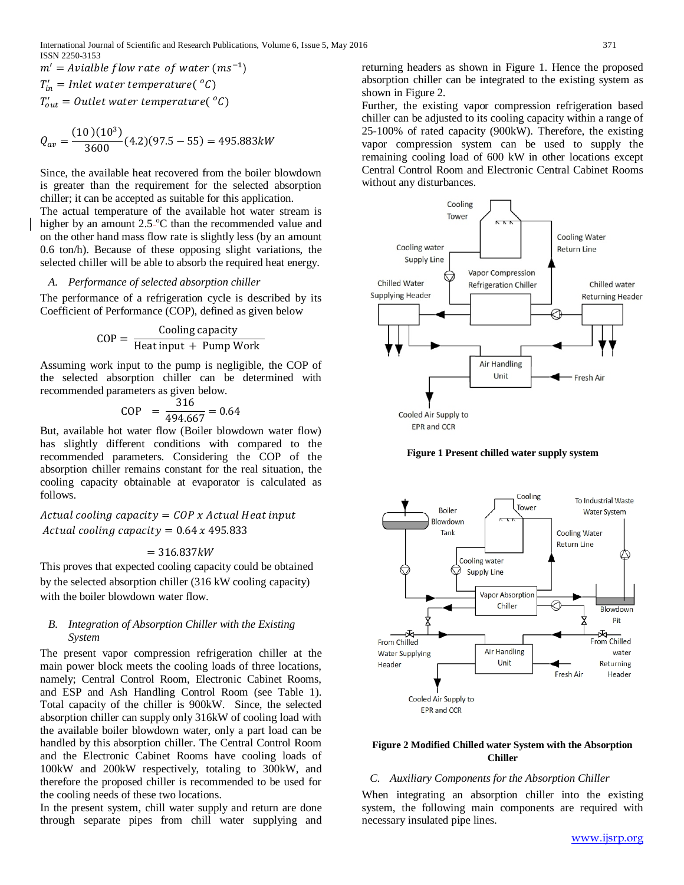$m' = \text{Aviable}$  flow rate of water  $(ms^{-1})$  $T'_{in}$  = Inlet water temperature(  $^oC$ )  $T'_{out} = 0$ utlet water temperature(  ${}^oC$ )

$$
Q_{av} = \frac{(10)(10^3)}{3600}(4.2)(97.5 - 55) = 495.883kW
$$

Since, the available heat recovered from the boiler blowdown is greater than the requirement for the selected absorption chiller; it can be accepted as suitable for this application.

The actual temperature of the available hot water stream is higher by an amount 2.5<sup>-o</sup>C than the recommended value and on the other hand mass flow rate is slightly less (by an amount 0.6 ton/h). Because of these opposing slight variations, the selected chiller will be able to absorb the required heat energy.

#### *A. Performance of selected absorption chiller*

The performance of a refrigeration cycle is described by its Coefficient of Performance (COP), defined as given below

$$
COP = \frac{Cooling capacity}{Heat input + Pump Work}
$$

Assuming work input to the pump is negligible, the COP of the selected absorption chiller can be determined with recommended parameters as given below.

$$
COP = \frac{316}{494.667} = 0.64
$$

But, available hot water flow (Boiler blowdown water flow) has slightly different conditions with compared to the recommended parameters. Considering the COP of the absorption chiller remains constant for the real situation, the cooling capacity obtainable at evaporator is calculated as follows.

Actual cooling capacity =  $COP$  x Actual Heat input Actual cooling capacity =  $0.64 x 495.833$ 

$$
= 316.837 kW
$$

This proves that expected cooling capacity could be obtained by the selected absorption chiller (316 kW cooling capacity) with the boiler blowdown water flow.

#### *B. Integration of Absorption Chiller with the Existing System*

The present vapor compression refrigeration chiller at the main power block meets the cooling loads of three locations, namely; Central Control Room, Electronic Cabinet Rooms, and ESP and Ash Handling Control Room (see Table 1). Total capacity of the chiller is 900kW. Since, the selected absorption chiller can supply only 316kW of cooling load with the available boiler blowdown water, only a part load can be handled by this absorption chiller. The Central Control Room and the Electronic Cabinet Rooms have cooling loads of 100kW and 200kW respectively, totaling to 300kW, and therefore the proposed chiller is recommended to be used for the cooling needs of these two locations.

In the present system, chill water supply and return are done through separate pipes from chill water supplying and returning headers as shown in Figure 1. Hence the proposed absorption chiller can be integrated to the existing system as shown in Figure 2.

Further, the existing vapor compression refrigeration based chiller can be adjusted to its cooling capacity within a range of 25-100% of rated capacity (900kW). Therefore, the existing vapor compression system can be used to supply the remaining cooling load of 600 kW in other locations except Central Control Room and Electronic Central Cabinet Rooms without any disturbances.







#### **Figure 2 Modified Chilled water System with the Absorption Chiller**

#### *C. Auxiliary Components for the Absorption Chiller*

When integrating an absorption chiller into the existing system, the following main components are required with necessary insulated pipe lines.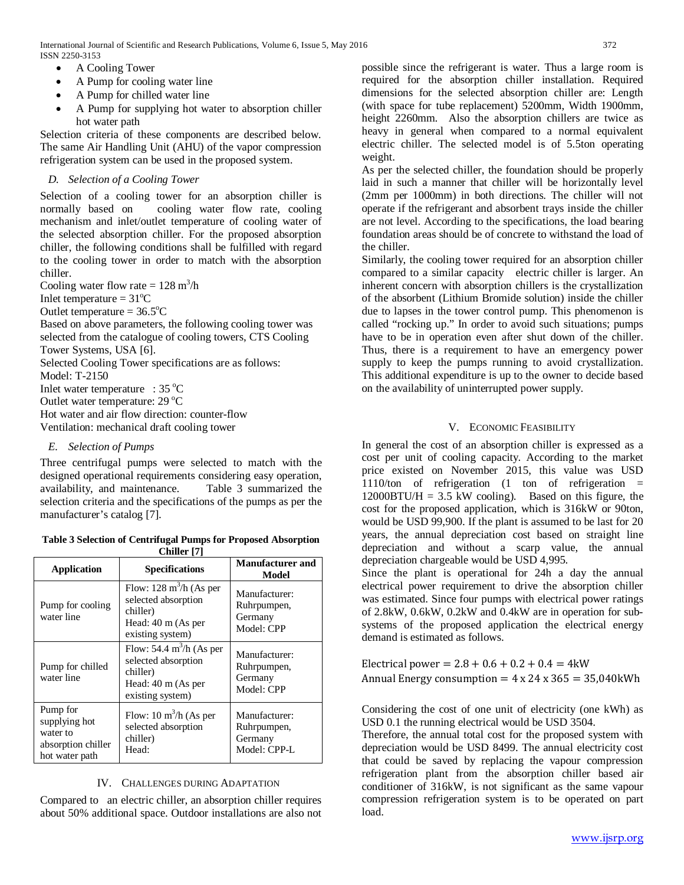- A Cooling Tower
- A Pump for cooling water line
- A Pump for chilled water line
- A Pump for supplying hot water to absorption chiller hot water path

Selection criteria of these components are described below. The same Air Handling Unit (AHU) of the vapor compression refrigeration system can be used in the proposed system.

## *D. Selection of a Cooling Tower*

Selection of a cooling tower for an absorption chiller is normally based on cooling water flow rate, cooling mechanism and inlet/outlet temperature of cooling water of the selected absorption chiller. For the proposed absorption chiller, the following conditions shall be fulfilled with regard to the cooling tower in order to match with the absorption chiller.

Cooling water flow rate =  $128 \text{ m}^3/\text{h}$ 

Inlet temperature =  $31^{\circ}$ C

Outlet temperature =  $36.5^{\circ}$ C

Based on above parameters, the following cooling tower was selected from the catalogue of cooling towers, CTS Cooling Tower Systems, USA [6].

Selected Cooling Tower specifications are as follows:

Model: T-2150

Inlet water temperature :  $35^{\circ}$ C

Outlet water temperature: 29 °C

Hot water and air flow direction: counter-flow Ventilation: mechanical draft cooling tower

## *E. Selection of Pumps*

Three centrifugal pumps were selected to match with the designed operational requirements considering easy operation, availability, and maintenance. Table 3 summarized the selection criteria and the specifications of the pumps as per the manufacturer's catalog [7].

| Table 3 Selection of Centrifugal Pumps for Proposed Absorption |
|----------------------------------------------------------------|
| Chiller [7]                                                    |

| 2000au 19                                                                     |                                                                                                                       |                                                         |  |  |
|-------------------------------------------------------------------------------|-----------------------------------------------------------------------------------------------------------------------|---------------------------------------------------------|--|--|
| <b>Application</b>                                                            | <b>Specifications</b>                                                                                                 | <b>Manufacturer</b> and<br>Model                        |  |  |
| Pump for cooling<br>water line                                                | Flow: $128 \text{ m}^3/\text{h}$ (As per<br>selected absorption<br>chiller)<br>Head: 40 m (As per<br>existing system) | Manufacturer:<br>Ruhrpumpen,<br>Germany<br>Model: CPP   |  |  |
| Pump for chilled<br>water line                                                | Flow: 54.4 $m^3/h$ (As per<br>selected absorption<br>chiller)<br>Head: $40 \text{ m}$ (As per<br>existing system)     | Manufacturer:<br>Ruhrpumpen,<br>Germany<br>Model: CPP   |  |  |
| Pump for<br>supplying hot<br>water to<br>absorption chiller<br>hot water path | Flow: $10 \text{ m}^3$ /h (As per<br>selected absorption<br>chiller)<br>Head:                                         | Manufacturer:<br>Ruhrpumpen,<br>Germany<br>Model: CPP-L |  |  |

## IV. CHALLENGES DURING ADAPTATION

Compared to an electric chiller, an absorption chiller requires about 50% additional space. Outdoor installations are also not

possible since the refrigerant is water. Thus a large room is required for the absorption chiller installation. Required dimensions for the selected absorption chiller are: Length (with space for tube replacement) 5200mm, Width 1900mm, height 2260mm. Also the absorption chillers are twice as heavy in general when compared to a normal equivalent electric chiller. The selected model is of 5.5ton operating weight.

As per the selected chiller, the foundation should be properly laid in such a manner that chiller will be horizontally level (2mm per 1000mm) in both directions. The chiller will not operate if the refrigerant and absorbent trays inside the chiller are not level. According to the specifications, the load bearing foundation areas should be of concrete to withstand the load of the chiller.

Similarly, the cooling tower required for an absorption chiller compared to a similar capacity electric chiller is larger. An inherent concern with absorption chillers is the crystallization of the absorbent (Lithium Bromide solution) inside the chiller due to lapses in the tower control pump. This phenomenon is called "rocking up." In order to avoid such situations; pumps have to be in operation even after shut down of the chiller. Thus, there is a requirement to have an emergency power supply to keep the pumps running to avoid crystallization. This additional expenditure is up to the owner to decide based on the availability of uninterrupted power supply.

## V. ECONOMIC FEASIBILITY

In general the cost of an absorption chiller is expressed as a cost per unit of cooling capacity. According to the market price existed on November 2015, this value was USD 1110/ton of refrigeration  $(1 \text{ ton of refrigeration}) =$  $12000BTU/H = 3.5$  kW cooling). Based on this figure, the cost for the proposed application, which is 316kW or 90ton, would be USD 99,900. If the plant is assumed to be last for 20 years, the annual depreciation cost based on straight line depreciation and without a scarp value, the annual depreciation chargeable would be USD 4,995.

Since the plant is operational for 24h a day the annual electrical power requirement to drive the absorption chiller was estimated. Since four pumps with electrical power ratings of 2.8kW, 0.6kW, 0.2kW and 0.4kW are in operation for subsystems of the proposed application the electrical energy demand is estimated as follows.

Electrical power =  $2.8 + 0.6 + 0.2 + 0.4 = 4$  kW Annual Energy consumption  $= 4 \times 24 \times 365 = 35,040$  kWh

Considering the cost of one unit of electricity (one kWh) as USD 0.1 the running electrical would be USD 3504.

Therefore, the annual total cost for the proposed system with depreciation would be USD 8499. The annual electricity cost that could be saved by replacing the vapour compression refrigeration plant from the absorption chiller based air conditioner of 316kW, is not significant as the same vapour compression refrigeration system is to be operated on part load.